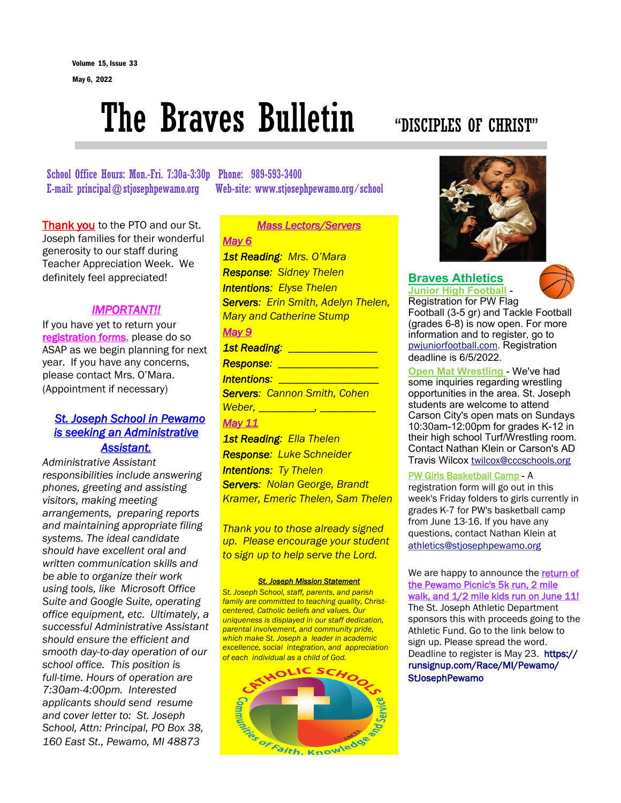# The Braves Bulletin "DISCIPLES OF CHRIST"

School Office Hours: Mon.-Fri. 7:30a-3:30p Phone: 989-593-3400 E-mail: principal@stjosephpewamo.org Web-site: www.stjosephpewamo.org/school

Thank you to the PTO and our St. Joseph families for their wonderful generosity to our staff during Teacher Appreciation Week. We definitely feel appreciated!

# *IMPORTANT!!*

If you have yet to return your registration forms, please do so ASAP as we begin planning for next year. If you have any concerns, please contact Mrs. O'Mara. (Appointment if necessary)

# *St. Joseph School in Pewamo is seeking an Administrative Assistant.*

*Administrative Assistant responsibilities include answering phones, greeting and assisting visitors, making meeting arrangements, preparing reports and maintaining appropriate filing systems. The ideal candidate should have excellent oral and written communication skills and be able to organize their work using tools, like Microsoft Office Suite and Google Suite, operating office equipment, etc. Ultimately, a successful Administrative Assistant should ensure the efficient and smooth day-to-day operation of our school office. This position is full-time. Hours of operation are 7:30am-4:00pm. Interested applicants should send resume and cover letter to: St. Joseph School, Attn: Principal, PO Box 38, 160 East St., Pewamo, MI 48873*

*Mass Lectors/Servers May 6 1st Reading: Mrs. O'Mara Response: Sidney Thelen Intentions: Elyse Thelen Servers: Erin Smith, Adelyn Thelen, Mary and Catherine Stump May 9 1st Reading: \_\_\_\_\_\_\_\_\_\_\_\_\_\_\_\_ Response: \_\_\_\_\_\_\_\_\_\_\_\_\_\_\_\_\_\_ Intentions: \_\_\_\_\_\_\_\_\_\_\_\_\_\_\_\_\_\_ Servers: Cannon Smith, Cohen Weber, \_\_\_\_\_\_\_\_\_\_, \_\_\_\_\_\_\_\_\_\_*

# *May 11*

*1st Reading: Ella Thelen Response: Luke Schneider Intentions: Ty Thelen Servers: Nolan George, Brandt Kramer, Emeric Thelen, Sam Thelen*

*Thank you to those already signed up. Please encourage your student to sign up to help serve the Lord.*

#### *St. Joseph Mission Statement*

*St. Joseph School, staff, parents, and parish family are committed to teaching quality, Christcentered, Catholic beliefs and values. Our uniqueness is displayed in our staff dedication, parental involvement, and community pride, which make St. Joseph a leader in academic excellence, social integration, and appreciation of each individual as a child of God.*





# **Braves Athletics Junior High Football** -



Registration for PW Flag Football (3-5 gr) and Tackle Football (grades 6-8) is now open. For more information and to register, go to [pwjuniorfootball.com](http://pwjuniorfootball.com/). Registration deadline is 6/5/2022.

**Open Mat Wrestling** - We've had some inquiries regarding wrestling opportunities in the area. St. Joseph students are welcome to attend Carson City's open mats on Sundays 10:30am-12:00pm for grades K-12 in their high school Turf/Wrestling room. Contact Nathan Klein or Carson's AD Travis Wilcox [twilcox@cccschools.org](mailto:twilcox@cccschools.org)

# PW Girls Basketball Camp - A

registration form will go out in this week's Friday folders to girls currently in grades K-7 for PW's basketball camp from June 13-16. If you have any questions, contact Nathan Klein at [athletics@stjosephpewamo.org](mailto:athletics@stjosephpewamo.org) 

We are happy to announce the return of the Pewamo Picnic's 5k run, 2 mile walk, and  $1/2$  mile kids run on June 11! The St. Joseph Athletic Department sponsors this with proceeds going to the Athletic Fund. Go to the link below to sign up. Please spread the word. Deadline to register is May 23. [https://](https://runsignup.com/Race/MI/Pewamo/StJosephPewamo?fbclid=IwAR2lf2ldQbIytab0jNQ05TwsdIxf3HSnhSVy3daKLzQtbSAaXVgP2zOlXnA) [runsignup.com/Race/MI/Pewamo/](https://runsignup.com/Race/MI/Pewamo/StJosephPewamo?fbclid=IwAR2lf2ldQbIytab0jNQ05TwsdIxf3HSnhSVy3daKLzQtbSAaXVgP2zOlXnA) [StJosephPewamo](https://runsignup.com/Race/MI/Pewamo/StJosephPewamo?fbclid=IwAR2lf2ldQbIytab0jNQ05TwsdIxf3HSnhSVy3daKLzQtbSAaXVgP2zOlXnA)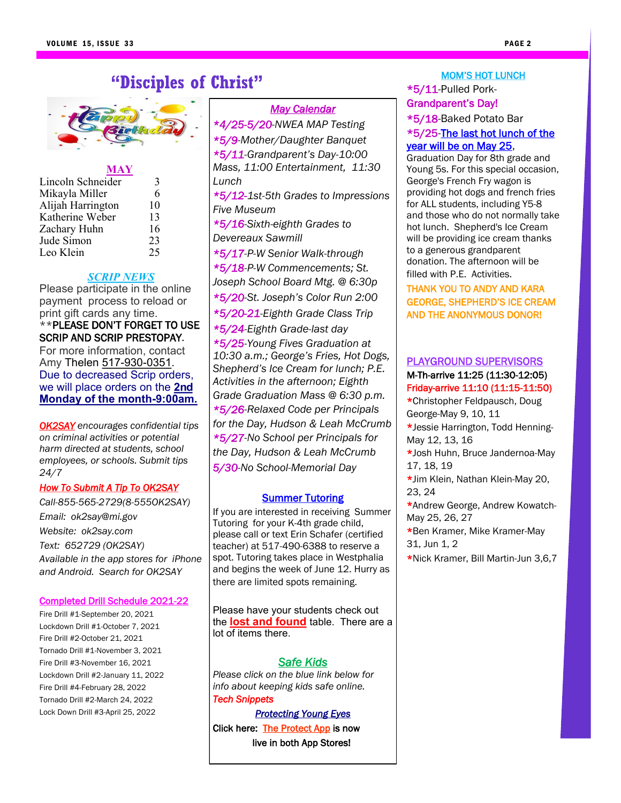# **"Disciples of Christ"**



# **MAY**

| Lincoln Schneider | 3  |
|-------------------|----|
| Mikayla Miller    | 6  |
| Alijah Harrington | 10 |
| Katherine Weber   | 13 |
| Zachary Huhn      | 16 |
| Jude Simon        | 23 |
| Leo Klein         | 25 |

# *SCRIP NEWS*

Please participate in the online payment process to reload or print gift cards any time. \*\*PLEASE DON'T FORGET TO USE SCRIP AND SCRIP PRESTOPAY. For more information, contact Amy Thelen 517-930-[0351.](tel:(517)%20930-0351)  Due to decreased Scrip orders, we will place orders on the **2nd Monday of the month-9:00am.** 

*OK2SAY encourages confidential tips on criminal activities or potential harm directed at students, school employees, or schools. Submit tips 24/7*

# *How To Submit A Tip To OK2SAY*

*Call-855-565-2729(8-555OK2SAY) Email: ok2say@mi.gov Website: ok2say.com Text: 652729 (OK2SAY) Available in the app stores for iPhone and Android. Search for OK2SAY*

# Completed Drill Schedule 2021-22

Fire Drill #1-September 20, 2021 Lockdown Drill #1-October 7, 2021 Fire Drill #2-October 21, 2021 Tornado Drill #1-November 3, 2021 Fire Drill #3-November 16, 2021 Lockdown Drill #2-January 11, 2022 Fire Drill #4-February 28, 2022 Tornado Drill #2-March 24, 2022 Lock Down Drill #3-April 25, 2022

# *May Calendar*

*\*4/25-5/20-NWEA MAP Testing \*5/9-Mother/Daughter Banquet \*5/11-Grandparent's Day-10:00 Mass, 11:00 Entertainment, 11:30 Lunch \*5/12-1st-5th Grades to Impressions Five Museum \*5/16-Sixth-eighth Grades to Devereaux Sawmill \*5/17-P-W Senior Walk-through \*5/18-P-W Commencements; St. Joseph School Board Mtg. @ 6:30p \*5/20-St. Joseph's Color Run 2:00 \*5/20-21-Eighth Grade Class Trip \*5/24-Eighth Grade-last day \*5/25-Young Fives Graduation at 10:30 a.m.; George's Fries, Hot Dogs, Shepherd's Ice Cream for lunch; P.E. Activities in the afternoon; Eighth Grade Graduation Mass @ 6:30 p.m. \*5/26-Relaxed Code per Principals for the Day, Hudson & Leah McCrumb \*5/27-No School per Principals for the Day, Hudson & Leah McCrumb 5/30-No School-Memorial Day*

# **Summer Tutoring**

If you are interested in receiving Summer Tutoring for your K-4th grade child, please call or text Erin Schafer (certified teacher) at 517-490-6388 to reserve a spot. Tutoring takes place in Westphalia and begins the week of June 12. Hurry as there are limited spots remaining.

Please have your students check out the **lost and found** table. There are a lot of items there.

# *Safe Kids*

*Please click on the blue link below for info about keeping kids safe online. Tech Snippets* 

*[Protecting Young Eyes](https://mailchi.mp/protectyoungeyes/download_4_25_22?e=711d74be09)* Click here: [The Protect App](https://protectyoungeyes.us10.list-manage.com/track/click?u=e302841fa7468bc03178aa832&id=f67e1e1a6c&e=00f4b1666e) is now live in both App Stores!

# MOM'S HOT LUNCH \*5/11-Pulled Pork-

# Grandparent's Day! \*5/18-Baked Potato Bar \*5/25-The last hot lunch of the year will be on May 25,

Graduation Day for 8th grade and Young 5s. For this special occasion, George's French Fry wagon is providing hot dogs and french fries for ALL students, including Y5-8 and those who do not normally take hot lunch. Shepherd's Ice Cream will be providing ice cream thanks to a generous grandparent donation. The afternoon will be filled with P.E. Activities.

# THANK YOU TO ANDY AND KARA GEORGE, SHEPHERD'S ICE CREAM AND THE ANONYMOUS DONOR!

# PLAYGROUND SUPERVISORS M-Th-arrive 11:25 (11:30-12:05) Friday-arrive 11:10 (11:15-11:50)

\*Christopher Feldpausch, Doug George-May 9, 10, 11

- \*Jessie Harrington, Todd Henning-May 12, 13, 16
- \*Josh Huhn, Bruce Jandernoa-May 17, 18, 19
- \*Jim Klein, Nathan Klein-May 20, 23, 24
- \*Andrew George, Andrew Kowatch-May 25, 26, 27
- \*Ben Kramer, Mike Kramer-May 31, Jun 1, 2
- \*Nick Kramer, Bill Martin-Jun 3,6,7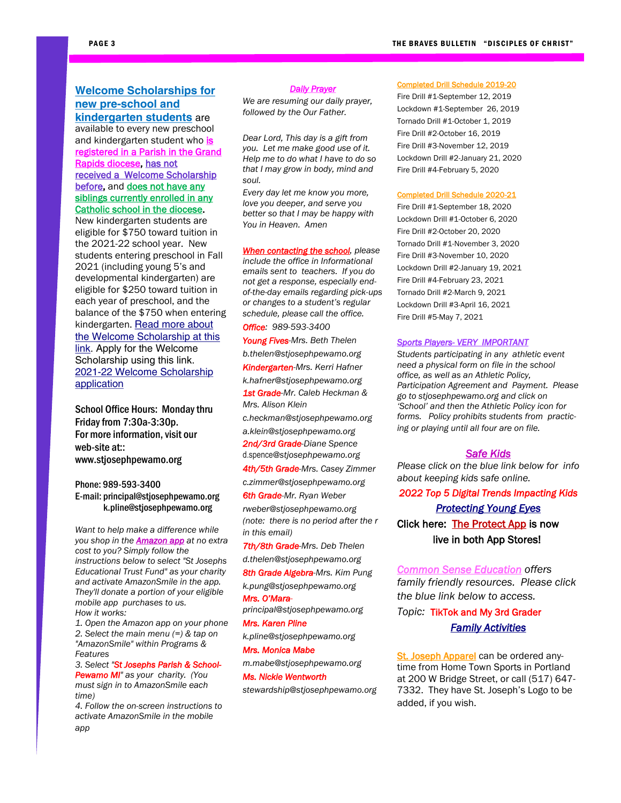# **Welcome Scholarships for new pre-school and kindergarten students** are

available to every new preschool and kindergarten student who is registered in a Parish in the Grand Rapids diocese, has not received a Welcome Scholarship before, and does not have any siblings currently enrolled in any Catholic school in the diocese.

New kindergarten students are eligible for \$750 toward tuition in the 2021-22 school year. New students entering preschool in Fall 2021 (including young 5's and developmental kindergarten) are eligible for \$250 toward tuition in each year of preschool, and the balance of the \$750 when entering kindergarten. Read more about [the Welcome Scholarship at this](https://catholicschools4u.org/blog/welcome-scholarships-available-new-preschool-kindergarten-families)  [link.](https://catholicschools4u.org/blog/welcome-scholarships-available-new-preschool-kindergarten-families) Apply for the Welcome Scholarship using this link. [2021-22 Welcome Scholarship](https://dioceseofgrandrapids.na2.echosign.com/public/esignWidget?wid=CBFCIBAA3AAABLblqZhBUcFPvufsMmiLGco27xpqLayTjuXfOnrJ0_meFZ5-aluHq5taeWXQJk7JxOwStQdc*)  [application](https://dioceseofgrandrapids.na2.echosign.com/public/esignWidget?wid=CBFCIBAA3AAABLblqZhBUcFPvufsMmiLGco27xpqLayTjuXfOnrJ0_meFZ5-aluHq5taeWXQJk7JxOwStQdc*)

School Office Hours: Monday thru Friday from 7:30a-3:30p. For more information, visit our web-site at:: www.stjosephpewamo.org

## Phone: 989-593-3400 E-mail: principal@stjosephpewamo.org k.pline@stjosephpewamo.org

*Want to help make a difference while you shop in the Amazon app at no extra cost to you? Simply follow the instructions below to select "St Josephs Educational Trust Fund" as your charity and activate AmazonSmile in the app. They'll donate a portion of your eligible mobile app purchases to us. How it works:*

*1. Open the Amazon app on your phone 2. Select the main menu (=) & tap on "AmazonSmile" within Programs & Features*

*3. Select "St Josephs Parish & School-Pewamo MI" as your charity. (You must sign in to AmazonSmile each time)*

*4. Follow the on-screen instructions to activate AmazonSmile in the mobile app*

#### *Daily Prayer*

*We are resuming our daily prayer, followed by the Our Father.*

*Dear Lord, This day is a gift from you. Let me make good use of it. Help me to do what I have to do so that I may grow in body, mind and soul.*

*Every day let me know you more, love you deeper, and serve you better so that I may be happy with You in Heaven. Amen*

*When contacting the school, please include the office in Informational emails sent to teachers. If you do not get a response, especially endof-the-day emails regarding pick-ups or changes to a student's regular schedule, please call the office.*

*Office: 989-593-3400*

*Young Fives-Mrs. Beth Thelen b.thelen@stjosephpewamo.org Kindergarten-Mrs. Kerri Hafner k.hafner@stjosephpewamo.org 1st Grade-Mr. Caleb Heckman &* 

*Mrs. Alison Klein c.heckman@stjosephpewamo.org*

*a.klein@stjosephpewamo.org 2nd/3rd Grade-Diane Spence*  d.spence*@stjosephpewamo.org*

*4th/5th Grade-Mrs. Casey Zimmer*

*c.zimmer@stjosephpewamo.org 6th Grade-Mr. Ryan Weber rweber@stjosephpewamo.org*

*(note: there is no period after the r in this email)*

*7th/8th Grade-Mrs. Deb Thelen d.thelen@stjosephpewamo.org*

*8th Grade Algebra-Mrs. Kim Pung*

*k.pung@stjosephpewamo.org Mrs. O'Mara-*

*principal@stjosephpewamo.org*

*Mrs. Karen Pline* 

*k.pline@stjosephpewamo.org*

*m.mabe@stjosephpewamo.org*

#### *Mrs. Monica Mabe*

*Ms. Nickie Wentworth* 

*stewardship@stjosephpewamo.org*

Completed Drill Schedule 2019-20

Fire Drill #1-September 12, 2019 Lockdown #1-September 26, 2019 Tornado Drill #1-October 1, 2019 Fire Drill #2-October 16, 2019 Fire Drill #3-November 12, 2019 Lockdown Drill #2-January 21, 2020 Fire Drill #4-February 5, 2020

#### Completed Drill Schedule 2020-21

Fire Drill #1-September 18, 2020 Lockdown Drill #1-October 6, 2020 Fire Drill #2-October 20, 2020 Tornado Drill #1-November 3, 2020 Fire Drill #3-November 10, 2020 Lockdown Drill #2-January 19, 2021 Fire Drill #4-February 23, 2021 Tornado Drill #2-March 9, 2021 Lockdown Drill #3-April 16, 2021 Fire Drill #5-May 7, 2021

#### *Sports Players- VERY IMPORTANT*

*Students participating in any athletic event need a physical form on file in the school office, as well as an Athletic Policy, Participation Agreement and Payment. Please go to stjosephpewamo.org and click on 'School' and then the Athletic Policy icon for forms. Policy prohibits students from practicing or playing until all four are on file.*

#### *Safe Kids*

*Please click on the blue link below for info about keeping kids safe online.*

*2022 Top 5 Digital Trends Impacting Kids* 

*[Protecting Young Eyes](https://mailchi.mp/protectyoungeyes/download_3_28_22?e=711d74be09)* Click here: [The Protect App i](https://protectyoungeyes.us10.list-manage.com/track/click?u=e302841fa7468bc03178aa832&id=f67e1e1a6c&e=00f4b1666e)s now live in both App Stores!

*Common Sense Education offers family friendly resources. Please click the blue link below to access.* 

*Topic:* TikTok and My 3rd Grader

# *[Family Activities](https://view.commonsense-email.org/?qs=9b163ac1d303dd8f22fbf39b15f4b1e9c496cac4db9a66b02074e3174ff1826371b4c36d1ce0a130db539b05a558c563a82cdaf0644f648c530257fd4dc6a6124b8a9c0ab31d657218edad23c6718dfaa75c4e3933650753)*

St. Joseph Apparel can be ordered anytime from Home Town Sports in Portland at 200 W Bridge Street, or call (517) 647- 7332. They have St. Joseph's Logo to be added, if you wish.